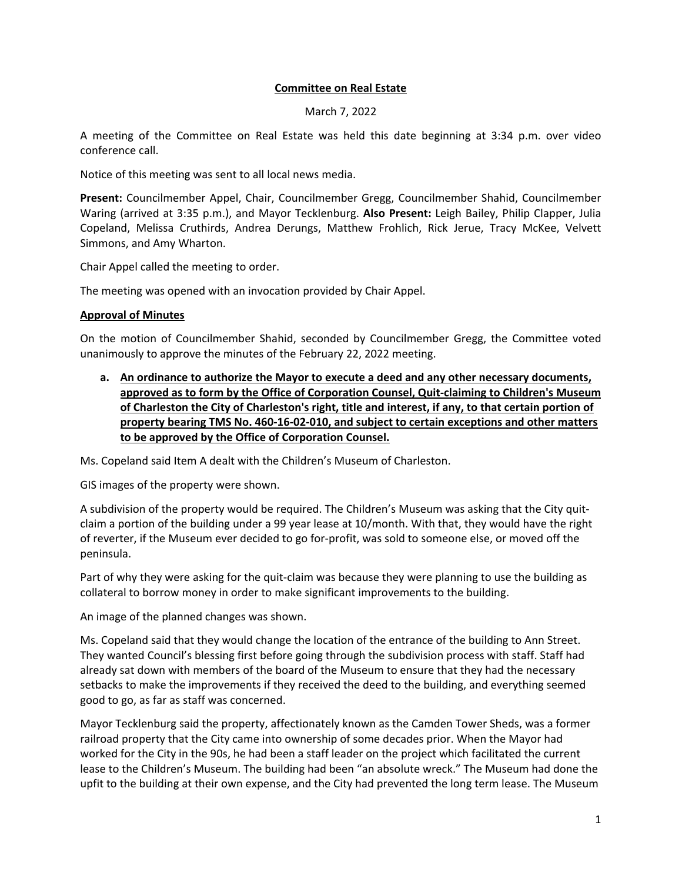## **Committee on Real Estate**

March 7, 2022

A meeting of the Committee on Real Estate was held this date beginning at 3:34 p.m. over video conference call.

Notice of this meeting was sent to all local news media.

**Present:** Councilmember Appel, Chair, Councilmember Gregg, Councilmember Shahid, Councilmember Waring (arrived at 3:35 p.m.), and Mayor Tecklenburg. **Also Present:** Leigh Bailey, Philip Clapper, Julia Copeland, Melissa Cruthirds, Andrea Derungs, Matthew Frohlich, Rick Jerue, Tracy McKee, Velvett Simmons, and Amy Wharton.

Chair Appel called the meeting to order.

The meeting was opened with an invocation provided by Chair Appel.

## **Approval of Minutes**

On the motion of Councilmember Shahid, seconded by Councilmember Gregg, the Committee voted unanimously to approve the minutes of the February 22, 2022 meeting.

**a. An ordinance to authorize the Mayor to execute a deed and any other necessary documents, approved as to form by the Office of Corporation Counsel, Quit-claiming to Children's Museum of Charleston the City of Charleston's right, title and interest, if any, to that certain portion of property bearing TMS No. 460-16-02-010, and subject to certain exceptions and other matters to be approved by the Office of Corporation Counsel.**

Ms. Copeland said Item A dealt with the Children's Museum of Charleston.

GIS images of the property were shown.

A subdivision of the property would be required. The Children's Museum was asking that the City quitclaim a portion of the building under a 99 year lease at 10/month. With that, they would have the right of reverter, if the Museum ever decided to go for-profit, was sold to someone else, or moved off the peninsula.

Part of why they were asking for the quit-claim was because they were planning to use the building as collateral to borrow money in order to make significant improvements to the building.

An image of the planned changes was shown.

Ms. Copeland said that they would change the location of the entrance of the building to Ann Street. They wanted Council's blessing first before going through the subdivision process with staff. Staff had already sat down with members of the board of the Museum to ensure that they had the necessary setbacks to make the improvements if they received the deed to the building, and everything seemed good to go, as far as staff was concerned.

Mayor Tecklenburg said the property, affectionately known as the Camden Tower Sheds, was a former railroad property that the City came into ownership of some decades prior. When the Mayor had worked for the City in the 90s, he had been a staff leader on the project which facilitated the current lease to the Children's Museum. The building had been "an absolute wreck." The Museum had done the upfit to the building at their own expense, and the City had prevented the long term lease. The Museum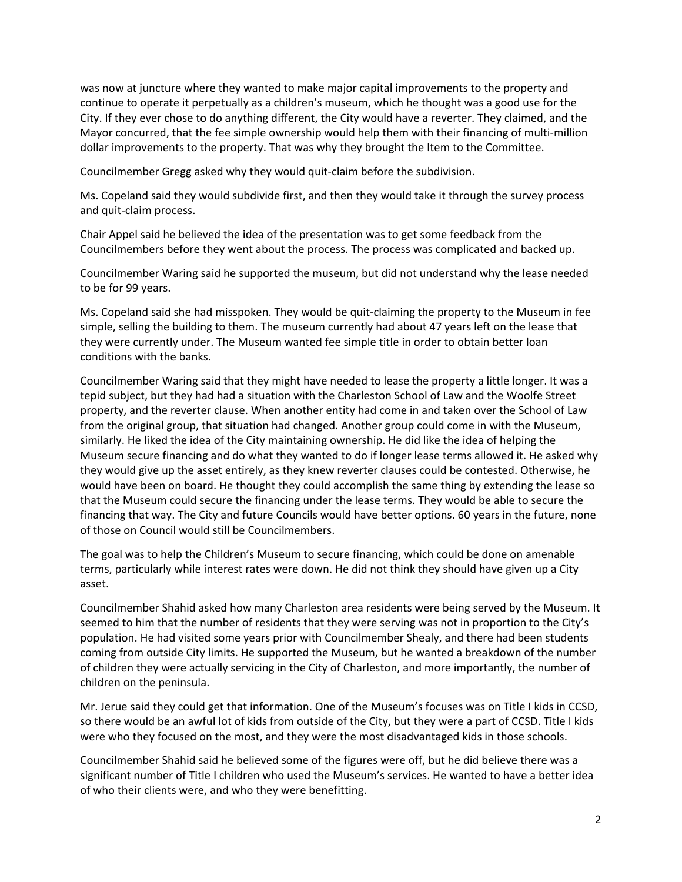was now at juncture where they wanted to make major capital improvements to the property and continue to operate it perpetually as a children's museum, which he thought was a good use for the City. If they ever chose to do anything different, the City would have a reverter. They claimed, and the Mayor concurred, that the fee simple ownership would help them with their financing of multi-million dollar improvements to the property. That was why they brought the Item to the Committee.

Councilmember Gregg asked why they would quit-claim before the subdivision.

Ms. Copeland said they would subdivide first, and then they would take it through the survey process and quit-claim process.

Chair Appel said he believed the idea of the presentation was to get some feedback from the Councilmembers before they went about the process. The process was complicated and backed up.

Councilmember Waring said he supported the museum, but did not understand why the lease needed to be for 99 years.

Ms. Copeland said she had misspoken. They would be quit-claiming the property to the Museum in fee simple, selling the building to them. The museum currently had about 47 years left on the lease that they were currently under. The Museum wanted fee simple title in order to obtain better loan conditions with the banks.

Councilmember Waring said that they might have needed to lease the property a little longer. It was a tepid subject, but they had had a situation with the Charleston School of Law and the Woolfe Street property, and the reverter clause. When another entity had come in and taken over the School of Law from the original group, that situation had changed. Another group could come in with the Museum, similarly. He liked the idea of the City maintaining ownership. He did like the idea of helping the Museum secure financing and do what they wanted to do if longer lease terms allowed it. He asked why they would give up the asset entirely, as they knew reverter clauses could be contested. Otherwise, he would have been on board. He thought they could accomplish the same thing by extending the lease so that the Museum could secure the financing under the lease terms. They would be able to secure the financing that way. The City and future Councils would have better options. 60 years in the future, none of those on Council would still be Councilmembers.

The goal was to help the Children's Museum to secure financing, which could be done on amenable terms, particularly while interest rates were down. He did not think they should have given up a City asset.

Councilmember Shahid asked how many Charleston area residents were being served by the Museum. It seemed to him that the number of residents that they were serving was not in proportion to the City's population. He had visited some years prior with Councilmember Shealy, and there had been students coming from outside City limits. He supported the Museum, but he wanted a breakdown of the number of children they were actually servicing in the City of Charleston, and more importantly, the number of children on the peninsula.

Mr. Jerue said they could get that information. One of the Museum's focuses was on Title I kids in CCSD, so there would be an awful lot of kids from outside of the City, but they were a part of CCSD. Title I kids were who they focused on the most, and they were the most disadvantaged kids in those schools.

Councilmember Shahid said he believed some of the figures were off, but he did believe there was a significant number of Title I children who used the Museum's services. He wanted to have a better idea of who their clients were, and who they were benefitting.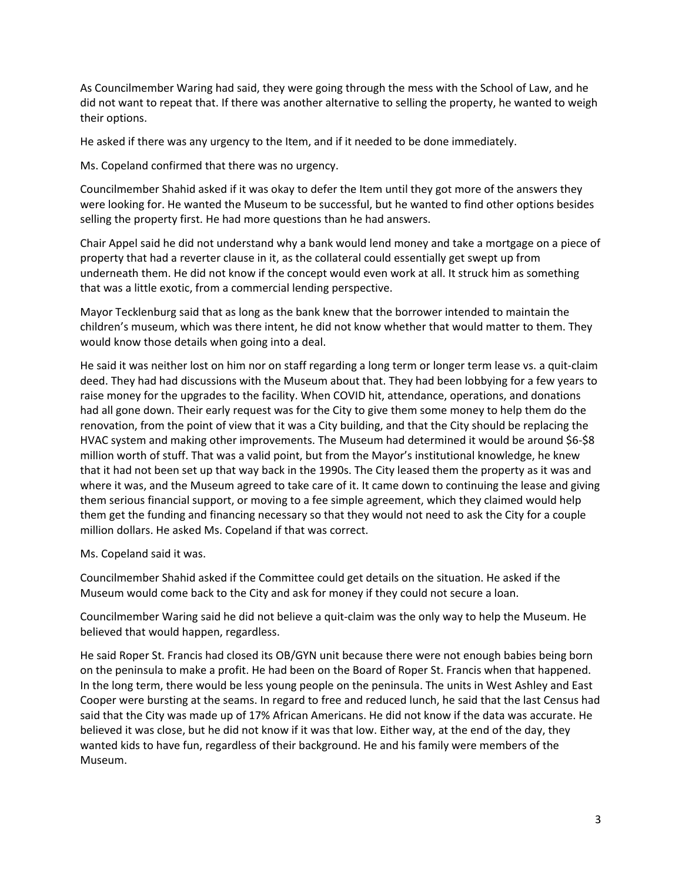As Councilmember Waring had said, they were going through the mess with the School of Law, and he did not want to repeat that. If there was another alternative to selling the property, he wanted to weigh their options.

He asked if there was any urgency to the Item, and if it needed to be done immediately.

Ms. Copeland confirmed that there was no urgency.

Councilmember Shahid asked if it was okay to defer the Item until they got more of the answers they were looking for. He wanted the Museum to be successful, but he wanted to find other options besides selling the property first. He had more questions than he had answers.

Chair Appel said he did not understand why a bank would lend money and take a mortgage on a piece of property that had a reverter clause in it, as the collateral could essentially get swept up from underneath them. He did not know if the concept would even work at all. It struck him as something that was a little exotic, from a commercial lending perspective.

Mayor Tecklenburg said that as long as the bank knew that the borrower intended to maintain the children's museum, which was there intent, he did not know whether that would matter to them. They would know those details when going into a deal.

He said it was neither lost on him nor on staff regarding a long term or longer term lease vs. a quit-claim deed. They had had discussions with the Museum about that. They had been lobbying for a few years to raise money for the upgrades to the facility. When COVID hit, attendance, operations, and donations had all gone down. Their early request was for the City to give them some money to help them do the renovation, from the point of view that it was a City building, and that the City should be replacing the HVAC system and making other improvements. The Museum had determined it would be around \$6-\$8 million worth of stuff. That was a valid point, but from the Mayor's institutional knowledge, he knew that it had not been set up that way back in the 1990s. The City leased them the property as it was and where it was, and the Museum agreed to take care of it. It came down to continuing the lease and giving them serious financial support, or moving to a fee simple agreement, which they claimed would help them get the funding and financing necessary so that they would not need to ask the City for a couple million dollars. He asked Ms. Copeland if that was correct.

Ms. Copeland said it was.

Councilmember Shahid asked if the Committee could get details on the situation. He asked if the Museum would come back to the City and ask for money if they could not secure a loan.

Councilmember Waring said he did not believe a quit-claim was the only way to help the Museum. He believed that would happen, regardless.

He said Roper St. Francis had closed its OB/GYN unit because there were not enough babies being born on the peninsula to make a profit. He had been on the Board of Roper St. Francis when that happened. In the long term, there would be less young people on the peninsula. The units in West Ashley and East Cooper were bursting at the seams. In regard to free and reduced lunch, he said that the last Census had said that the City was made up of 17% African Americans. He did not know if the data was accurate. He believed it was close, but he did not know if it was that low. Either way, at the end of the day, they wanted kids to have fun, regardless of their background. He and his family were members of the Museum.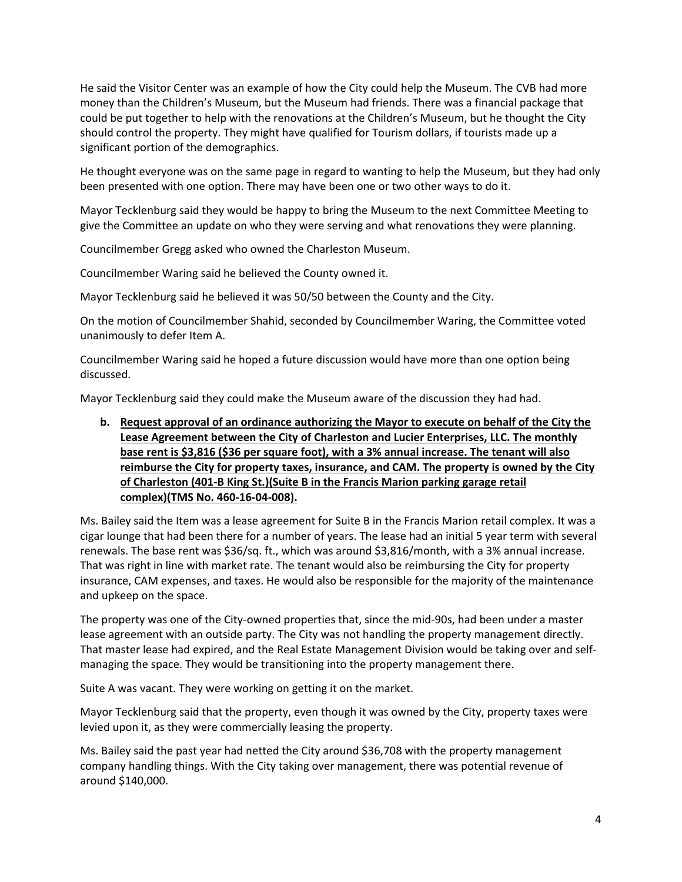He said the Visitor Center was an example of how the City could help the Museum. The CVB had more money than the Children's Museum, but the Museum had friends. There was a financial package that could be put together to help with the renovations at the Children's Museum, but he thought the City should control the property. They might have qualified for Tourism dollars, if tourists made up a significant portion of the demographics.

He thought everyone was on the same page in regard to wanting to help the Museum, but they had only been presented with one option. There may have been one or two other ways to do it.

Mayor Tecklenburg said they would be happy to bring the Museum to the next Committee Meeting to give the Committee an update on who they were serving and what renovations they were planning.

Councilmember Gregg asked who owned the Charleston Museum.

Councilmember Waring said he believed the County owned it.

Mayor Tecklenburg said he believed it was 50/50 between the County and the City.

On the motion of Councilmember Shahid, seconded by Councilmember Waring, the Committee voted unanimously to defer Item A.

Councilmember Waring said he hoped a future discussion would have more than one option being discussed.

Mayor Tecklenburg said they could make the Museum aware of the discussion they had had.

**b. Request approval of an ordinance authorizing the Mayor to execute on behalf of the City the Lease Agreement between the City of Charleston and Lucier Enterprises, LLC. The monthly base rent is \$3,816 (\$36 per square foot), with a 3% annual increase. The tenant will also reimburse the City for property taxes, insurance, and CAM. The property is owned by the City of Charleston (401-B King St.)(Suite B in the Francis Marion parking garage retail complex)(TMS No. 460-16-04-008).**

Ms. Bailey said the Item was a lease agreement for Suite B in the Francis Marion retail complex. It was a cigar lounge that had been there for a number of years. The lease had an initial 5 year term with several renewals. The base rent was \$36/sq. ft., which was around \$3,816/month, with a 3% annual increase. That was right in line with market rate. The tenant would also be reimbursing the City for property insurance, CAM expenses, and taxes. He would also be responsible for the majority of the maintenance and upkeep on the space.

The property was one of the City-owned properties that, since the mid-90s, had been under a master lease agreement with an outside party. The City was not handling the property management directly. That master lease had expired, and the Real Estate Management Division would be taking over and selfmanaging the space. They would be transitioning into the property management there.

Suite A was vacant. They were working on getting it on the market.

Mayor Tecklenburg said that the property, even though it was owned by the City, property taxes were levied upon it, as they were commercially leasing the property.

Ms. Bailey said the past year had netted the City around \$36,708 with the property management company handling things. With the City taking over management, there was potential revenue of around \$140,000.